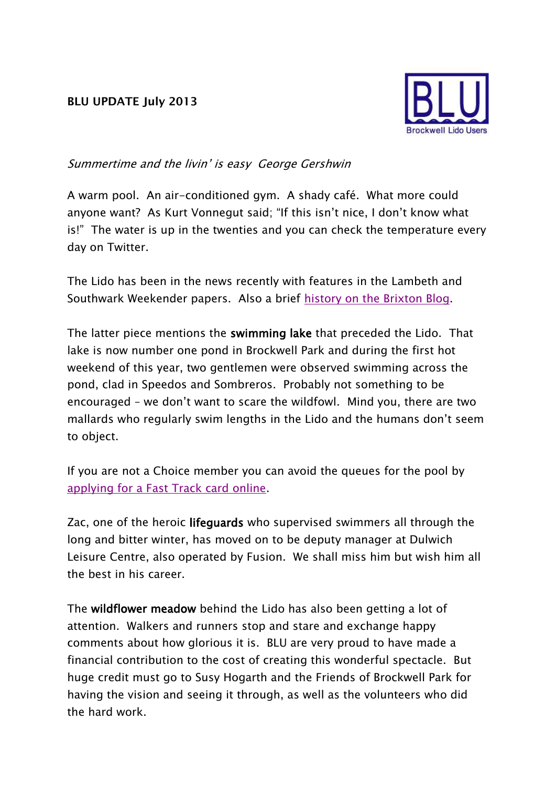## **BLU UPDATE July 2013**



## Summertime and the livin' is easy George Gershwin

A warm pool. An air-conditioned gym. A shady café. What more could anyone want? As Kurt Vonnegut said; "If this isn't nice, I don't know what is!" The water is up in the twenties and you can check the temperature every day on Twitter.

The Lido has been in the news recently with features in the Lambeth and Southwark Weekender papers. Also a brief [history on the Brixton Blog.](http://www.brixtonblog.com/brix-mortar-brockwell-lido/12952)

The latter piece mentions the swimming lake that preceded the Lido. That lake is now number one pond in Brockwell Park and during the first hot weekend of this year, two gentlemen were observed swimming across the pond, clad in Speedos and Sombreros. Probably not something to be encouraged – we don't want to scare the wildfowl. Mind you, there are two mallards who regularly swim lengths in the Lido and the humans don't seem to object.

If you are not a Choice member you can avoid the queues for the pool by [applying for a Fast Track card online.](http://www.fusion-lifestyle.com/bookings)

Zac, one of the heroic lifeguards who supervised swimmers all through the long and bitter winter, has moved on to be deputy manager at Dulwich Leisure Centre, also operated by Fusion. We shall miss him but wish him all the best in his career.

The wildflower meadow behind the Lido has also been getting a lot of attention. Walkers and runners stop and stare and exchange happy comments about how glorious it is. BLU are very proud to have made a financial contribution to the cost of creating this wonderful spectacle. But huge credit must go to Susy Hogarth and the Friends of Brockwell Park for having the vision and seeing it through, as well as the volunteers who did the hard work.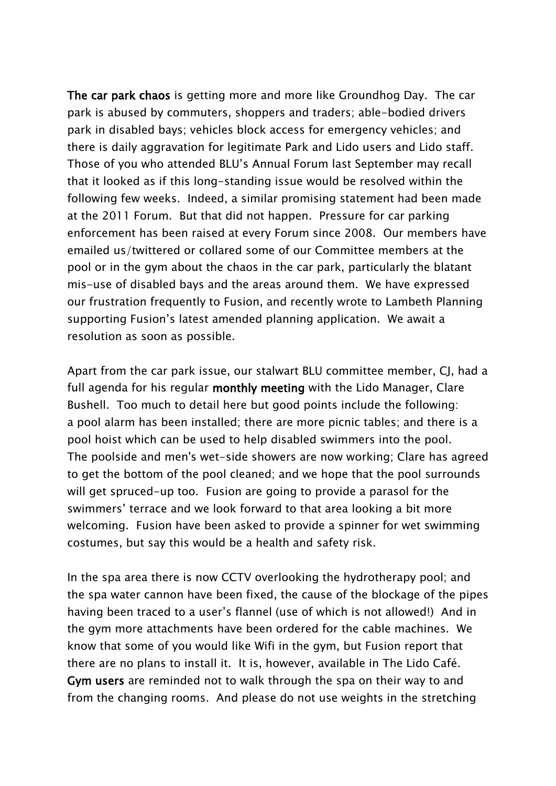The car park chaos is getting more and more like Groundhog Day. The car park is abused by commuters, shoppers and traders; able-bodied drivers park in disabled bays; vehicles block access for emergency vehicles; and there is daily aggravation for legitimate Park and Lido users and Lido staff. Those of you who attended BLU's Annual Forum last September may recall that it looked as if this long-standing issue would be resolved within the following few weeks. Indeed, a similar promising statement had been made at the 2011 Forum. But that did not happen. Pressure for car parking enforcement has been raised at every Forum since 2008. Our members have emailed us/twittered or collared some of our Committee members at the pool or in the gym about the chaos in the car park, particularly the blatant mis-use of disabled bays and the areas around them. We have expressed our frustration frequently to Fusion, and recently wrote to Lambeth Planning supporting Fusion's latest amended planning application. We await a resolution as soon as possible.

Apart from the car park issue, our stalwart BLU committee member, CJ, had a full agenda for his regular monthly meeting with the Lido Manager, Clare Bushell. Too much to detail here but good points include the following: a pool alarm has been installed; there are more picnic tables; and there is a pool hoist which can be used to help disabled swimmers into the pool. The poolside and men's wet-side showers are now working; Clare has agreed to get the bottom of the pool cleaned; and we hope that the pool surrounds will get spruced-up too. Fusion are going to provide a parasol for the swimmers' terrace and we look forward to that area looking a bit more welcoming. Fusion have been asked to provide a spinner for wet swimming costumes, but say this would be a health and safety risk.

In the spa area there is now CCTV overlooking the hydrotherapy pool; and the spa water cannon have been fixed, the cause of the blockage of the pipes having been traced to a user's flannel (use of which is not allowed!) And in the gym more attachments have been ordered for the cable machines. We know that some of you would like Wifi in the gym, but Fusion report that there are no plans to install it. It is, however, available in The Lido Café. Gym users are reminded not to walk through the spa on their way to and from the changing rooms. And please do not use weights in the stretching